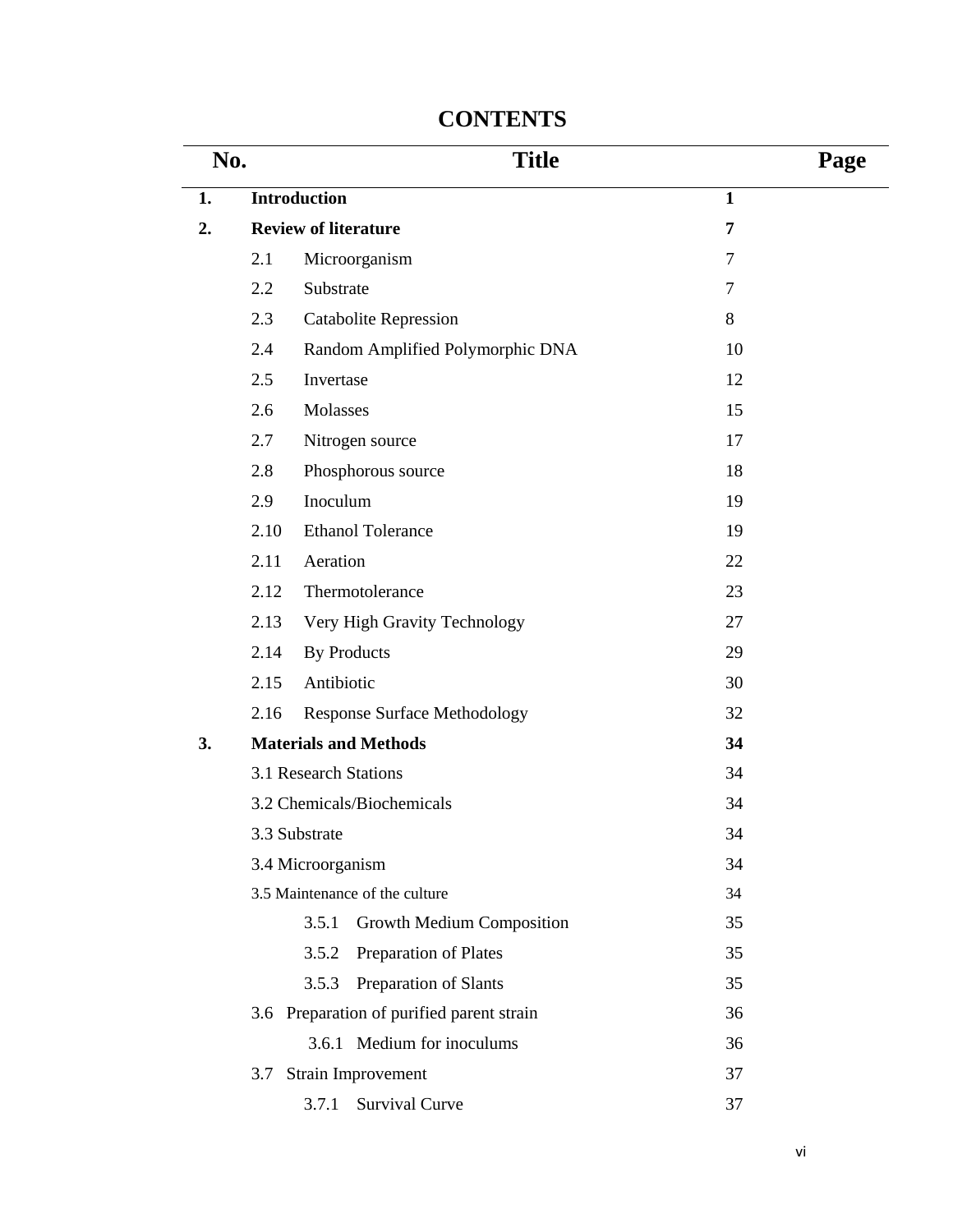| No. |      | <b>Title</b>                              |              |  |  |
|-----|------|-------------------------------------------|--------------|--|--|
| 1.  |      | <b>Introduction</b>                       | $\mathbf{1}$ |  |  |
| 2.  |      | <b>Review of literature</b>               | 7            |  |  |
|     | 2.1  | Microorganism                             | 7            |  |  |
|     | 2.2  | Substrate                                 | 7            |  |  |
|     | 2.3  | <b>Catabolite Repression</b>              | 8            |  |  |
|     | 2.4  | Random Amplified Polymorphic DNA          | 10           |  |  |
|     | 2.5  | Invertase                                 | 12           |  |  |
|     | 2.6  | Molasses                                  | 15           |  |  |
|     | 2.7  | Nitrogen source                           | 17           |  |  |
|     | 2.8  | Phosphorous source                        | 18           |  |  |
|     | 2.9  | Inoculum                                  | 19           |  |  |
|     | 2.10 | <b>Ethanol Tolerance</b>                  | 19           |  |  |
|     | 2.11 | Aeration                                  | 22           |  |  |
|     | 2.12 | Thermotolerance                           | 23           |  |  |
|     | 2.13 | Very High Gravity Technology              | 27           |  |  |
|     | 2.14 | <b>By Products</b>                        | 29           |  |  |
|     | 2.15 | Antibiotic                                | 30           |  |  |
|     | 2.16 | <b>Response Surface Methodology</b>       | 32           |  |  |
| 3.  |      | <b>Materials and Methods</b>              | 34           |  |  |
|     |      | 3.1 Research Stations                     | 34           |  |  |
|     |      | 3.2 Chemicals/Biochemicals                | 34           |  |  |
|     |      | 3.3 Substrate                             | 34           |  |  |
|     |      | 3.4 Microorganism                         | 34           |  |  |
|     |      | 3.5 Maintenance of the culture            | 34           |  |  |
|     |      | 3.5.1<br>Growth Medium Composition        | 35           |  |  |
|     |      | 3.5.2<br>Preparation of Plates            | 35           |  |  |
|     |      | Preparation of Slants<br>3.5.3            | 35           |  |  |
|     |      | 3.6 Preparation of purified parent strain | 36           |  |  |
|     |      | 3.6.1 Medium for inoculums                | 36           |  |  |
|     | 3.7  | Strain Improvement                        | 37           |  |  |
|     |      | Survival Curve<br>3.7.1                   | 37           |  |  |

## **CONTENTS**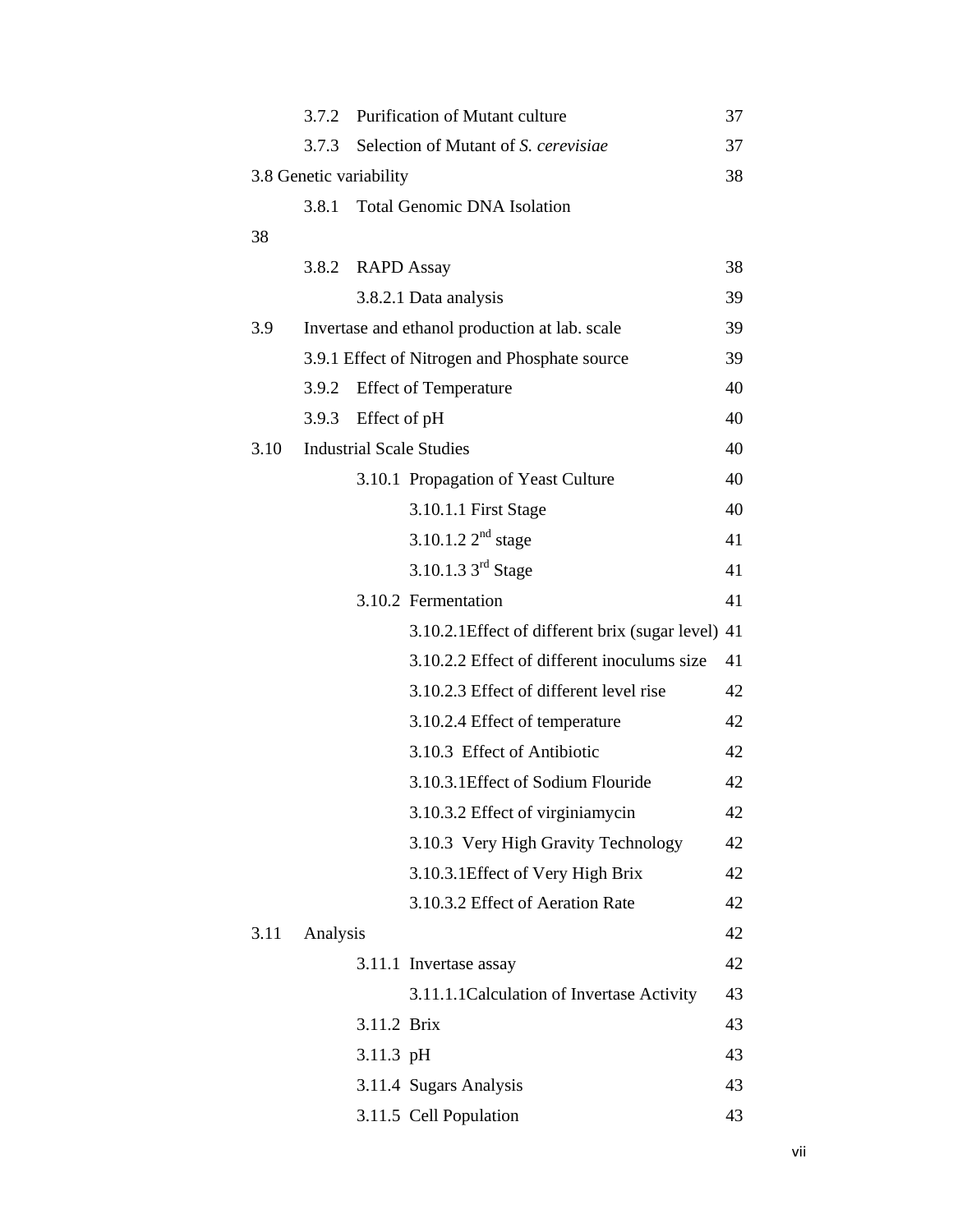|      | 3.7.2                                          |                                 | Purification of Mutant culture                     | 37 |
|------|------------------------------------------------|---------------------------------|----------------------------------------------------|----|
|      | 3.7.3                                          |                                 | Selection of Mutant of S. cerevisiae               | 37 |
|      |                                                | 3.8 Genetic variability         |                                                    | 38 |
|      | 3.8.1                                          |                                 | <b>Total Genomic DNA Isolation</b>                 |    |
| 38   |                                                |                                 |                                                    |    |
|      | 3.8.2                                          | <b>RAPD</b> Assay               |                                                    | 38 |
|      |                                                |                                 | 3.8.2.1 Data analysis                              | 39 |
| 3.9  | Invertase and ethanol production at lab. scale |                                 |                                                    | 39 |
|      | 3.9.1 Effect of Nitrogen and Phosphate source  |                                 |                                                    | 39 |
|      | 3.9.2                                          |                                 | <b>Effect of Temperature</b>                       | 40 |
|      | 3.9.3                                          | Effect of pH                    |                                                    | 40 |
| 3.10 |                                                | <b>Industrial Scale Studies</b> |                                                    |    |
|      |                                                |                                 | 3.10.1 Propagation of Yeast Culture                | 40 |
|      |                                                |                                 | 3.10.1.1 First Stage                               | 40 |
|      |                                                |                                 | 3.10.1.2 $2^{nd}$ stage                            | 41 |
|      |                                                |                                 | 3.10.1.3 $3^{\text{rd}}$ Stage                     | 41 |
|      |                                                |                                 | 3.10.2 Fermentation                                | 41 |
|      |                                                |                                 | 3.10.2.1 Effect of different brix (sugar level) 41 |    |
|      |                                                |                                 | 3.10.2.2 Effect of different inoculums size        | 41 |
|      |                                                |                                 | 3.10.2.3 Effect of different level rise            | 42 |
|      |                                                |                                 | 3.10.2.4 Effect of temperature                     | 42 |
|      |                                                |                                 | 3.10.3 Effect of Antibiotic                        | 42 |
|      |                                                |                                 | 3.10.3.1 Effect of Sodium Flouride                 | 42 |
|      |                                                |                                 | 3.10.3.2 Effect of virginiamycin                   | 42 |
|      |                                                |                                 | 3.10.3 Very High Gravity Technology                | 42 |
|      |                                                |                                 | 3.10.3.1 Effect of Very High Brix                  | 42 |
|      |                                                |                                 | 3.10.3.2 Effect of Aeration Rate                   | 42 |
| 3.11 | Analysis                                       |                                 |                                                    | 42 |
|      |                                                |                                 | 3.11.1 Invertase assay                             | 42 |
|      |                                                |                                 | 3.11.1.1Calculation of Invertase Activity          | 43 |
|      |                                                | 3.11.2 Brix                     |                                                    | 43 |
|      |                                                | 3.11.3 pH                       |                                                    | 43 |
|      |                                                |                                 | 3.11.4 Sugars Analysis                             | 43 |
|      |                                                |                                 | 3.11.5 Cell Population                             | 43 |